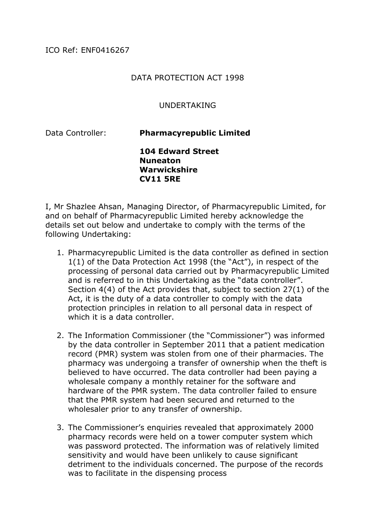## DATA PROTECTION ACT 1998

## UNDERTAKING

Data Controller: **Pharmacyrepublic Limited** 

**104 Edward Street Nuneaton Warwickshire CV11 5RE** 

I, Mr Shazlee Ahsan, Managing Director, of Pharmacyrepublic Limited, for and on behalf of Pharmacyrepublic Limited hereby acknowledge the details set out below and undertake to comply with the terms of the following Undertaking:

- 1. Pharmacyrepublic Limited is the data controller as defined in section 1(1) of the Data Protection Act 1998 (the "Act"), in respect of the processing of personal data carried out by Pharmacyrepublic Limited and is referred to in this Undertaking as the "data controller". Section 4(4) of the Act provides that, subject to section 27(1) of the Act, it is the duty of a data controller to comply with the data protection principles in relation to all personal data in respect of which it is a data controller.
- 2. The Information Commissioner (the "Commissioner") was informed by the data controller in September 2011 that a patient medication record (PMR) system was stolen from one of their pharmacies. The pharmacy was undergoing a transfer of ownership when the theft is believed to have occurred. The data controller had been paying a wholesale company a monthly retainer for the software and hardware of the PMR system. The data controller failed to ensure that the PMR system had been secured and returned to the wholesaler prior to any transfer of ownership.
- 3. The Commissioner's enquiries revealed that approximately 2000 pharmacy records were held on a tower computer system which was password protected. The information was of relatively limited sensitivity and would have been unlikely to cause significant detriment to the individuals concerned. The purpose of the records was to facilitate in the dispensing process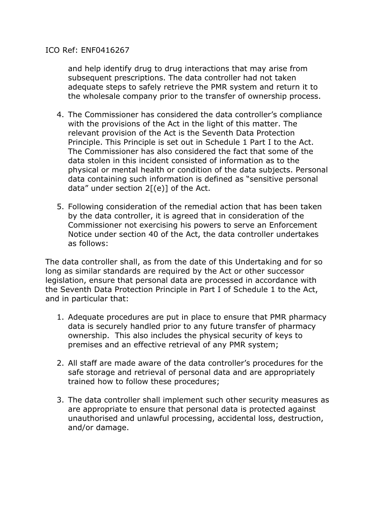## ICO Ref: ENF0416267

and help identify drug to drug interactions that may arise from subsequent prescriptions. The data controller had not taken adequate steps to safely retrieve the PMR system and return it to the wholesale company prior to the transfer of ownership process.

- 4. The Commissioner has considered the data controller's compliance with the provisions of the Act in the light of this matter. The relevant provision of the Act is the Seventh Data Protection Principle. This Principle is set out in Schedule 1 Part I to the Act. The Commissioner has also considered the fact that some of the data stolen in this incident consisted of information as to the physical or mental health or condition of the data subjects. Personal data containing such information is defined as "sensitive personal data" under section  $2[(e)]$  of the Act.
- 5. Following consideration of the remedial action that has been taken by the data controller, it is agreed that in consideration of the Commissioner not exercising his powers to serve an Enforcement Notice under section 40 of the Act, the data controller undertakes as follows:

The data controller shall, as from the date of this Undertaking and for so long as similar standards are required by the Act or other successor legislation, ensure that personal data are processed in accordance with the Seventh Data Protection Principle in Part I of Schedule 1 to the Act, and in particular that:

- 1. Adequate procedures are put in place to ensure that PMR pharmacy data is securely handled prior to any future transfer of pharmacy ownership. This also includes the physical security of keys to premises and an effective retrieval of any PMR system;
- 2. All staff are made aware of the data controller's procedures for the safe storage and retrieval of personal data and are appropriately trained how to follow these procedures;
- 3. The data controller shall implement such other security measures as are appropriate to ensure that personal data is protected against unauthorised and unlawful processing, accidental loss, destruction, and/or damage.